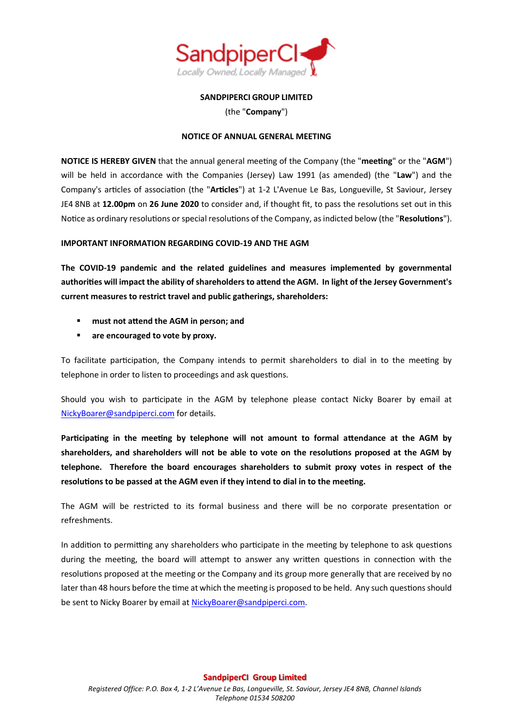

# **SANDPIPERCI GROUP LIMITED**

(the "**Company**")

# **NOTICE OF ANNUAL GENERAL MEETING**

**NOTICE IS HEREBY GIVEN** that the annual general meeting of the Company (the "**meeting**" or the "**AGM**") will be held in accordance with the Companies (Jersey) Law 1991 (as amended) (the "**Law**") and the Company's articles of association (the "**Articles**") at 1-2 L'Avenue Le Bas, Longueville, St Saviour, Jersey JE4 8NB at **12.00pm** on **26 June 2020** to consider and, if thought fit, to pass the resolutions set out in this Notice as ordinary resolutions or special resolutions of the Company, as indicted below (the "**Resolutions**").

# **IMPORTANT INFORMATION REGARDING COVID-19 AND THE AGM**

**The COVID-19 pandemic and the related guidelines and measures implemented by governmental authorities will impact the ability of shareholders to attend the AGM. In light of the Jersey Government's current measures to restrict travel and public gatherings, shareholders:**

- **must not attend the AGM in person; and**
- **are encouraged to vote by proxy.**

To facilitate participation, the Company intends to permit shareholders to dial in to the meeting by telephone in order to listen to proceedings and ask questions.

Should you wish to participate in the AGM by telephone please contact Nicky Boarer by email at [NickyBoarer@sandpiperci.com](mailto:NickyBoarer@sandpiperci.com) for details.

**Participating in the meeting by telephone will not amount to formal attendance at the AGM by shareholders, and shareholders will not be able to vote on the resolutions proposed at the AGM by telephone. Therefore the board encourages shareholders to submit proxy votes in respect of the resolutions to be passed at the AGM even if they intend to dial in to the meeting.**

The AGM will be restricted to its formal business and there will be no corporate presentation or refreshments.

In addition to permitting any shareholders who participate in the meeting by telephone to ask questions during the meeting, the board will attempt to answer any written questions in connection with the resolutions proposed at the meeting or the Company and its group more generally that are received by no later than 48 hours before the time at which the meeting is proposed to be held. Any such questions should be sent to Nicky Boarer by email at [NickyBoarer@sandpiperci.com.](mailto:NickyBoarer@sandpiperci.com)

**SandpiperCI Group Limited**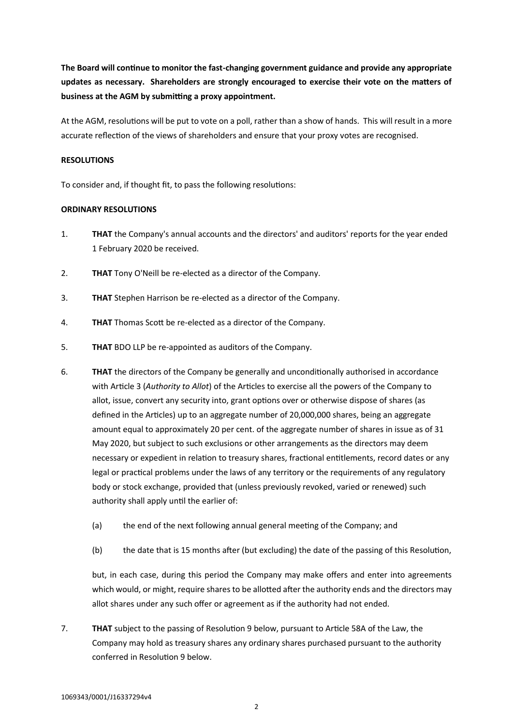**The Board will continue to monitor the fast-changing government guidance and provide any appropriate updates as necessary. Shareholders are strongly encouraged to exercise their vote on the matters of business at the AGM by submitting a proxy appointment.**

At the AGM, resolutions will be put to vote on a poll, rather than a show of hands. This will result in a more accurate reflection of the views of shareholders and ensure that your proxy votes are recognised.

## **RESOLUTIONS**

To consider and, if thought fit, to pass the following resolutions:

## **ORDINARY RESOLUTIONS**

- 1. **THAT** the Company's annual accounts and the directors' and auditors' reports for the year ended 1 February 2020 be received.
- 2. **THAT** Tony O'Neill be re-elected as a director of the Company.
- 3. **THAT** Stephen Harrison be re-elected as a director of the Company.
- 4. **THAT** Thomas Scott be re-elected as a director of the Company.
- 5. **THAT** BDO LLP be re-appointed as auditors of the Company.
- <span id="page-1-0"></span>6. **THAT** the directors of the Company be generally and unconditionally authorised in accordance with Article 3 (*Authority to Allot*) of the Articles to exercise all the powers of the Company to allot, issue, convert any security into, grant options over or otherwise dispose of shares (as defined in the Articles) up to an aggregate number of 20,000,000 shares, being an aggregate amount equal to approximately 20 per cent. of the aggregate number of shares in issue as of 31 May 2020, but subject to such exclusions or other arrangements as the directors may deem necessary or expedient in relation to treasury shares, fractional entitlements, record dates or any legal or practical problems under the laws of any territory or the requirements of any regulatory body or stock exchange, provided that (unless previously revoked, varied or renewed) such authority shall apply until the earlier of:
	- (a) the end of the next following annual general meeting of the Company; and
	- (b) the date that is 15 months after (but excluding) the date of the passing of this Resolution,

but, in each case, during this period the Company may make offers and enter into agreements which would, or might, require shares to be allotted after the authority ends and the directors may allot shares under any such offer or agreement as if the authority had not ended.

7. **THAT** subject to the passing of Resolution [9 below,](#page-2-0) pursuant to Article 58A of the Law, the Company may hold as treasury shares any ordinary shares purchased pursuant to the authority conferred in Resolutio[n 9 below.](#page-2-0)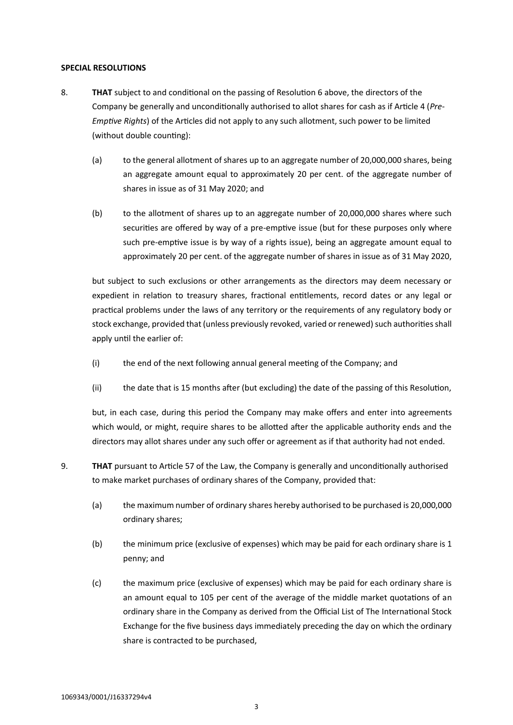## **SPECIAL RESOLUTIONS**

- 8. **THAT** subject to and conditional on the passing of Resolution [6 above,](#page-1-0) the directors of the Company be generally and unconditionally authorised to allot shares for cash as if Article 4 (*Pre-Emptive Rights*) of the Articles did not apply to any such allotment, such power to be limited (without double counting):
	- (a) to the general allotment of shares up to an aggregate number of 20,000,000 shares, being an aggregate amount equal to approximately 20 per cent. of the aggregate number of shares in issue as of 31 May 2020; and
	- (b) to the allotment of shares up to an aggregate number of 20,000,000 shares where such securities are offered by way of a pre-emptive issue (but for these purposes only where such pre-emptive issue is by way of a rights issue), being an aggregate amount equal to approximately 20 per cent. of the aggregate number of shares in issue as of 31 May 2020,

but subject to such exclusions or other arrangements as the directors may deem necessary or expedient in relation to treasury shares, fractional entitlements, record dates or any legal or practical problems under the laws of any territory or the requirements of any regulatory body or stock exchange, provided that (unless previously revoked, varied or renewed) such authorities shall apply until the earlier of:

- (i) the end of the next following annual general meeting of the Company; and
- (ii) the date that is 15 months after (but excluding) the date of the passing of this Resolution,

but, in each case, during this period the Company may make offers and enter into agreements which would, or might, require shares to be allotted after the applicable authority ends and the directors may allot shares under any such offer or agreement as if that authority had not ended.

- <span id="page-2-0"></span>9. **THAT** pursuant to Article 57 of the Law, the Company is generally and unconditionally authorised to make market purchases of ordinary shares of the Company, provided that:
	- (a) the maximum number of ordinary shares hereby authorised to be purchased is 20,000,000 ordinary shares;
	- (b) the minimum price (exclusive of expenses) which may be paid for each ordinary share is 1 penny; and
	- (c) the maximum price (exclusive of expenses) which may be paid for each ordinary share is an amount equal to 105 per cent of the average of the middle market quotations of an ordinary share in the Company as derived from the Official List of The International Stock Exchange for the five business days immediately preceding the day on which the ordinary share is contracted to be purchased,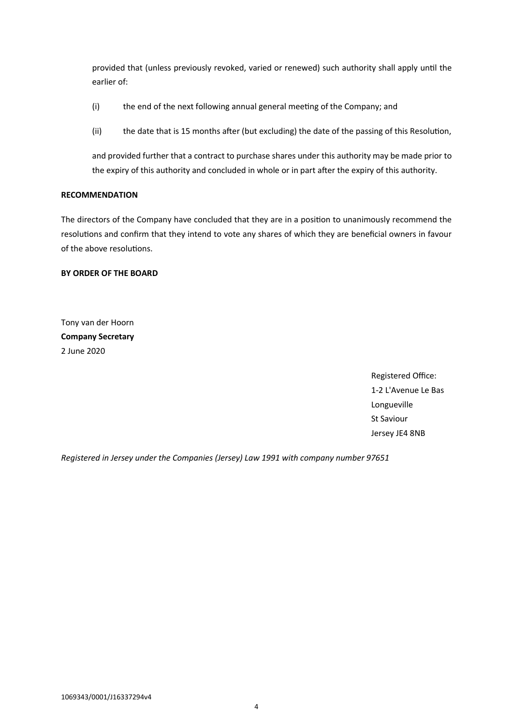provided that (unless previously revoked, varied or renewed) such authority shall apply until the earlier of:

- (i) the end of the next following annual general meeting of the Company; and
- (ii) the date that is 15 months after (but excluding) the date of the passing of this Resolution,

and provided further that a contract to purchase shares under this authority may be made prior to the expiry of this authority and concluded in whole or in part after the expiry of this authority.

## **RECOMMENDATION**

The directors of the Company have concluded that they are in a position to unanimously recommend the resolutions and confirm that they intend to vote any shares of which they are beneficial owners in favour of the above resolutions.

## **BY ORDER OF THE BOARD**

Tony van der Hoorn **Company Secretary** 2 June 2020

> Registered Office: 1-2 L'Avenue Le Bas Longueville St Saviour Jersey JE4 8NB

*Registered in Jersey under the Companies (Jersey) Law 1991 with company number 97651*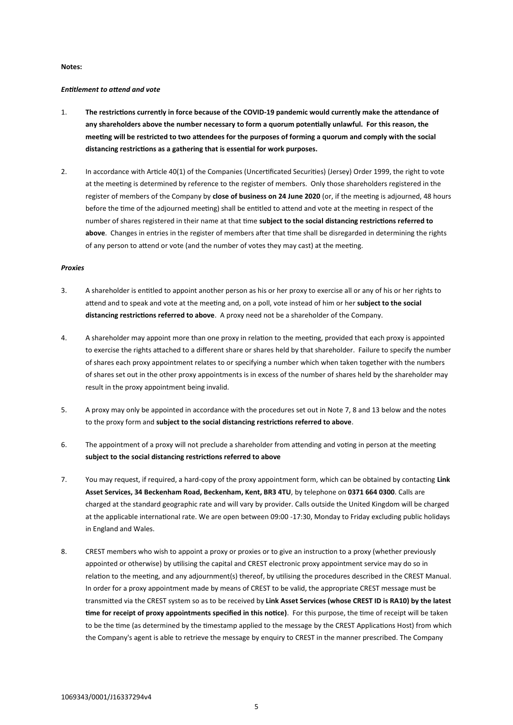#### **Notes:**

#### *Entitlement to attend and vote*

- 1. **The restrictions currently in force because of the COVID-19 pandemic would currently make the attendance of any shareholders above the number necessary to form a quorum potentially unlawful. For this reason, the meeting will be restricted to two attendees for the purposes of forming a quorum and comply with the social distancing restrictions as a gathering that is essential for work purposes.**
- 2. In accordance with Article 40(1) of the Companies (Uncertificated Securities) (Jersey) Order 1999, the right to vote at the meeting is determined by reference to the register of members. Only those shareholders registered in the register of members of the Company by **close of business on 24 June 2020** (or, if the meeting is adjourned, 48 hours before the time of the adjourned meeting) shall be entitled to attend and vote at the meeting in respect of the number of shares registered in their name at that time **subject to the social distancing restrictions referred to above**. Changes in entries in the register of members after that time shall be disregarded in determining the rights of any person to attend or vote (and the number of votes they may cast) at the meeting.

#### *Proxies*

- 3. A shareholder is entitled to appoint another person as his or her proxy to exercise all or any of his or her rights to attend and to speak and vote at the meeting and, on a poll, vote instead of him or her **subject to the social distancing restrictions referred to above**. A proxy need not be a shareholder of the Company.
- 4. A shareholder may appoint more than one proxy in relation to the meeting, provided that each proxy is appointed to exercise the rights attached to a different share or shares held by that shareholder. Failure to specify the number of shares each proxy appointment relates to or specifying a number which when taken together with the numbers of shares set out in the other proxy appointments is in excess of the number of shares held by the shareholder may result in the proxy appointment being invalid.
- 5. A proxy may only be appointed in accordance with the procedures set out in Note [7,](#page-4-0) [8](#page-4-1) an[d 13 below](#page-5-0) and the notes to the proxy form and **subject to the social distancing restrictions referred to above**.
- 6. The appointment of a proxy will not preclude a shareholder from attending and voting in person at the meeting **subject to the social distancing restrictions referred to above**
- <span id="page-4-0"></span>7. You may request, if required, a hard-copy of the proxy appointment form, which can be obtained by contacting **Link Asset Services, 34 Beckenham Road, Beckenham, Kent, BR3 4TU**, by telephone on **0371 664 0300**. Calls are charged at the standard geographic rate and will vary by provider. Calls outside the United Kingdom will be charged at the applicable international rate. We are open between 09:00 -17:30, Monday to Friday excluding public holidays in England and Wales.
- <span id="page-4-1"></span>8. CREST members who wish to appoint a proxy or proxies or to give an instruction to a proxy (whether previously appointed or otherwise) by utilising the capital and CREST electronic proxy appointment service may do so in relation to the meeting, and any adjournment(s) thereof, by utilising the procedures described in the CREST Manual. In order for a proxy appointment made by means of CREST to be valid, the appropriate CREST message must be transmitted via the CREST system so as to be received by **Link Asset Services (whose CREST ID is RA10) by the latest time for receipt of proxy appointments specified in this notice)**. For this purpose, the time of receipt will be taken to be the time (as determined by the timestamp applied to the message by the CREST Applications Host) from which the Company's agent is able to retrieve the message by enquiry to CREST in the manner prescribed. The Company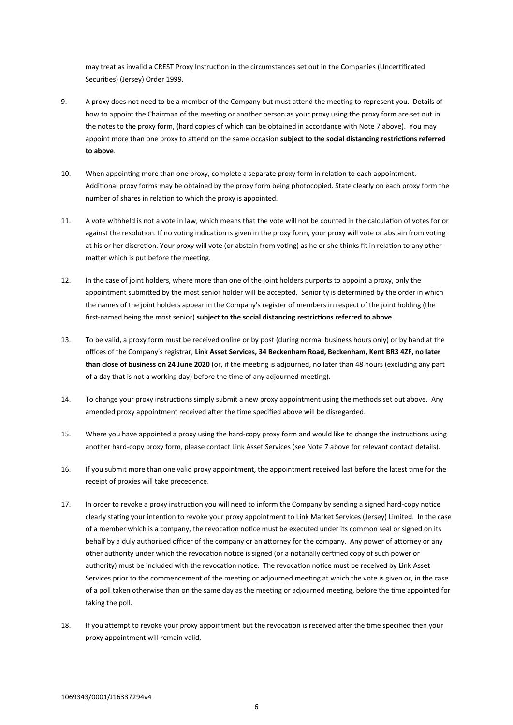may treat as invalid a CREST Proxy Instruction in the circumstances set out in the Companies (Uncertificated Securities) (Jersey) Order 1999.

- 9. A proxy does not need to be a member of the Company but must attend the meeting to represent you. Details of how to appoint the Chairman of the meeting or another person as your proxy using the proxy form are set out in the notes to the proxy form, (hard copies of which can be obtained in accordance with Note [7 above\)](#page-4-0). You may appoint more than one proxy to attend on the same occasion **subject to the social distancing restrictions referred to above**.
- 10. When appointing more than one proxy, complete a separate proxy form in relation to each appointment. Additional proxy forms may be obtained by the proxy form being photocopied. State clearly on each proxy form the number of shares in relation to which the proxy is appointed.
- 11. A vote withheld is not a vote in law, which means that the vote will not be counted in the calculation of votes for or against the resolution. If no voting indication is given in the proxy form, your proxy will vote or abstain from voting at his or her discretion. Your proxy will vote (or abstain from voting) as he or she thinks fit in relation to any other matter which is put before the meeting.
- 12. In the case of joint holders, where more than one of the joint holders purports to appoint a proxy, only the appointment submitted by the most senior holder will be accepted. Seniority is determined by the order in which the names of the joint holders appear in the Company's register of members in respect of the joint holding (the first-named being the most senior) **subject to the social distancing restrictions referred to above**.
- <span id="page-5-0"></span>13. To be valid, a proxy form must be received online or by post (during normal business hours only) or by hand at the offices of the Company's registrar, **Link Asset Services, 34 Beckenham Road, Beckenham, Kent BR3 4ZF, no later than close of business on 24 June 2020** (or, if the meeting is adjourned, no later than 48 hours (excluding any part of a day that is not a working day) before the time of any adjourned meeting).
- 14. To change your proxy instructions simply submit a new proxy appointment using the methods set out above. Any amended proxy appointment received after the time specified above will be disregarded.
- 15. Where you have appointed a proxy using the hard-copy proxy form and would like to change the instructions using another hard-copy proxy form, please contact Link Asset Services (see Note [7 above](#page-4-0) for relevant contact details).
- 16. If you submit more than one valid proxy appointment, the appointment received last before the latest time for the receipt of proxies will take precedence.
- 17. In order to revoke a proxy instruction you will need to inform the Company by sending a signed hard-copy notice clearly stating your intention to revoke your proxy appointment to Link Market Services (Jersey) Limited. In the case of a member which is a company, the revocation notice must be executed under its common seal or signed on its behalf by a duly authorised officer of the company or an attorney for the company. Any power of attorney or any other authority under which the revocation notice is signed (or a notarially certified copy of such power or authority) must be included with the revocation notice. The revocation notice must be received by Link Asset Services prior to the commencement of the meeting or adjourned meeting at which the vote is given or, in the case of a poll taken otherwise than on the same day as the meeting or adjourned meeting, before the time appointed for taking the poll.
- 18. If you attempt to revoke your proxy appointment but the revocation is received after the time specified then your proxy appointment will remain valid.